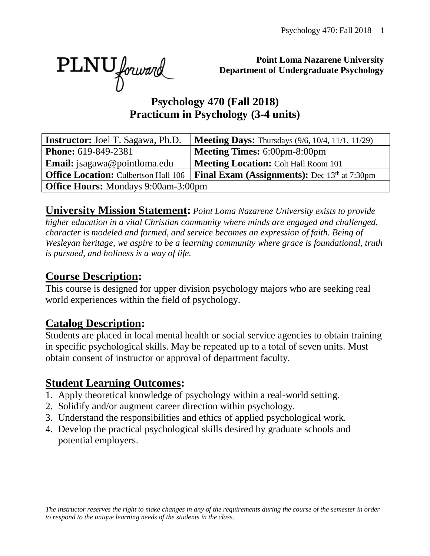PLNU forward

**Point Loma Nazarene University Department of Undergraduate Psychology**

#### **Psychology 470 (Fall 2018) Practicum in Psychology (3-4 units)**

| <b>Instructor:</b> Joel T. Sagawa, Ph.D.   | <b>Meeting Days:</b> Thursdays (9/6, 10/4, 11/1, 11/29)                                           |  |  |  |
|--------------------------------------------|---------------------------------------------------------------------------------------------------|--|--|--|
| <b>Phone:</b> 619-849-2381                 | <b>Meeting Times: 6:00pm-8:00pm</b>                                                               |  |  |  |
| <b>Email:</b> jsagawa@pointloma.edu        | <b>Meeting Location: Colt Hall Room 101</b>                                                       |  |  |  |
|                                            | <b>Office Location:</b> Culbertson Hall 106   <b>Final Exam (Assignments):</b> Dec 13th at 7:30pm |  |  |  |
| <b>Office Hours:</b> Mondays 9:00am-3:00pm |                                                                                                   |  |  |  |

**University Mission Statement:** *Point Loma Nazarene University exists to provide higher education in a vital Christian community where minds are engaged and challenged, character is modeled and formed, and service becomes an expression of faith. Being of Wesleyan heritage, we aspire to be a learning community where grace is foundational, truth is pursued, and holiness is a way of life.* 

#### **Course Description:**

This course is designed for upper division psychology majors who are seeking real world experiences within the field of psychology.

#### **Catalog Description:**

Students are placed in local mental health or social service agencies to obtain training in specific psychological skills. May be repeated up to a total of seven units. Must obtain consent of instructor or approval of department faculty.

#### **Student Learning Outcomes:**

- 1. Apply theoretical knowledge of psychology within a real-world setting.
- 2. Solidify and/or augment career direction within psychology.
- 3. Understand the responsibilities and ethics of applied psychological work.
- 4. Develop the practical psychological skills desired by graduate schools and potential employers.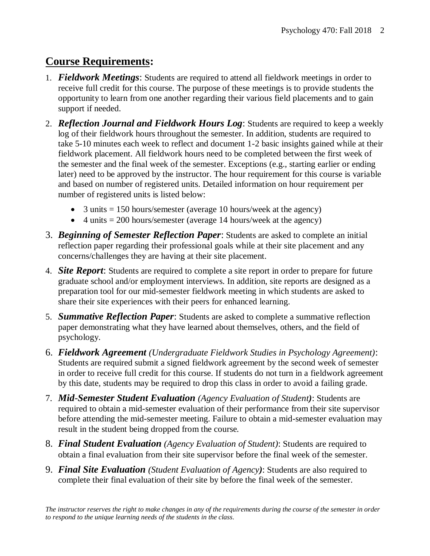## **Course Requirements:**

- 1. *Fieldwork Meetings*: Students are required to attend all fieldwork meetings in order to receive full credit for this course. The purpose of these meetings is to provide students the opportunity to learn from one another regarding their various field placements and to gain support if needed.
- 2. *Reflection Journal and Fieldwork Hours Log*: Students are required to keep a weekly log of their fieldwork hours throughout the semester. In addition, students are required to take 5-10 minutes each week to reflect and document 1-2 basic insights gained while at their fieldwork placement. All fieldwork hours need to be completed between the first week of the semester and the final week of the semester. Exceptions (e.g., starting earlier or ending later) need to be approved by the instructor. The hour requirement for this course is variable and based on number of registered units. Detailed information on hour requirement per number of registered units is listed below:
	- 3 units  $= 150$  hours/semester (average 10 hours/week at the agency)
	- 4 units  $= 200$  hours/semester (average 14 hours/week at the agency)
- 3. *Beginning of Semester Reflection Paper*: Students are asked to complete an initial reflection paper regarding their professional goals while at their site placement and any concerns/challenges they are having at their site placement.
- 4. *Site Report*: Students are required to complete a site report in order to prepare for future graduate school and/or employment interviews. In addition, site reports are designed as a preparation tool for our mid-semester fieldwork meeting in which students are asked to share their site experiences with their peers for enhanced learning.
- 5. *Summative Reflection Paper*: Students are asked to complete a summative reflection paper demonstrating what they have learned about themselves, others, and the field of psychology.
- 6. *Fieldwork Agreement (Undergraduate Fieldwork Studies in Psychology Agreement)*: Students are required submit a signed fieldwork agreement by the second week of semester in order to receive full credit for this course. If students do not turn in a fieldwork agreement by this date, students may be required to drop this class in order to avoid a failing grade.
- 7. *Mid*-*Semester Student Evaluation (Agency Evaluation of Student)*: Students are required to obtain a mid-semester evaluation of their performance from their site supervisor before attending the mid-semester meeting. Failure to obtain a mid-semester evaluation may result in the student being dropped from the course.
- 8. *Final Student Evaluation (Agency Evaluation of Student)*: Students are required to obtain a final evaluation from their site supervisor before the final week of the semester.
- 9. *Final Site Evaluation (Student Evaluation of Agency)*: Students are also required to complete their final evaluation of their site by before the final week of the semester.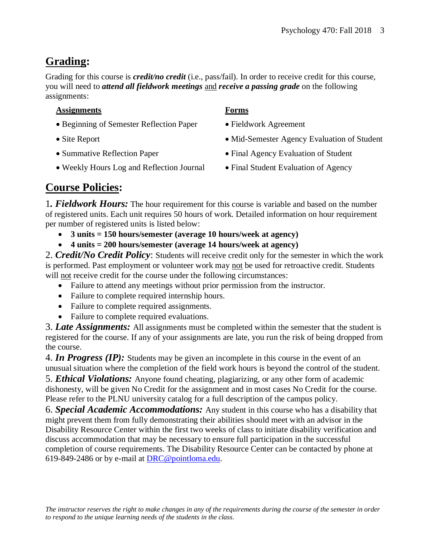## **Grading:**

Grading for this course is *credit/no credit* (i.e., pass/fail). In order to receive credit for this course, you will need to *attend all fieldwork meetings* and *receive a passing grade* on the following assignments:

#### **Assignments Forms**

- Beginning of Semester Reflection Paper Fieldwork Agreement
- 
- 
- Weekly Hours Log and Reflection Journal Final Student Evaluation of Agency
- 
- 
- Site Report Mid-Semester Agency Evaluation of Student
- Summative Reflection Paper Final Agency Evaluation of Student
	-

## **Course Policies:**

1*. Fieldwork Hours:* The hour requirement for this course is variable and based on the number of registered units. Each unit requires 50 hours of work. Detailed information on hour requirement per number of registered units is listed below:

- **3 units = 150 hours/semester (average 10 hours/week at agency)**
- **4 units = 200 hours/semester (average 14 hours/week at agency)**

2. *Credit/No Credit Policy*: Students will receive credit only for the semester in which the work is performed. Past employment or volunteer work may not be used for retroactive credit. Students will not receive credit for the course under the following circumstances:

- Failure to attend any meetings without prior permission from the instructor.
- Failure to complete required internship hours.
- Failure to complete required assignments.
- Failure to complete required evaluations.

3. *Late Assignments:* All assignments must be completed within the semester that the student is registered for the course. If any of your assignments are late, you run the risk of being dropped from the course.

4. *In Progress (IP):* Students may be given an incomplete in this course in the event of an unusual situation where the completion of the field work hours is beyond the control of the student. 5. *Ethical Violations:* Anyone found cheating, plagiarizing, or any other form of academic dishonesty, will be given No Credit for the assignment and in most cases No Credit for the course. Please refer to the PLNU university catalog for a full description of the campus policy.

6. *Special Academic Accommodations:* Any student in this course who has a disability that might prevent them from fully demonstrating their abilities should meet with an advisor in the Disability Resource Center within the first two weeks of class to initiate disability verification and discuss accommodation that may be necessary to ensure full participation in the successful completion of course requirements. The Disability Resource Center can be contacted by phone at 619-849-2486 or by e-mail at [DRC@pointloma.edu.](mailto:DRC@pointloma.edu)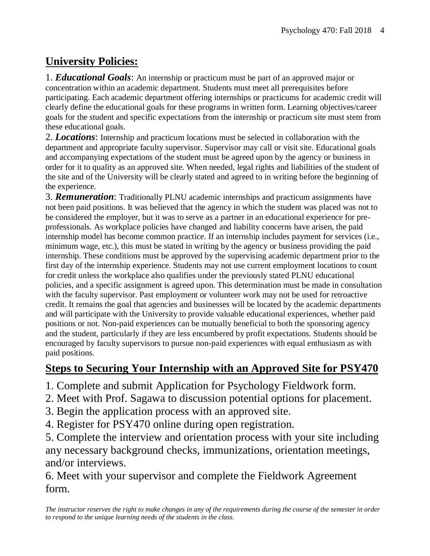## **University Policies:**

1. *Educational Goals*: An internship or practicum must be part of an approved major or concentration within an academic department. Students must meet all prerequisites before participating. Each academic department offering internships or practicums for academic credit will clearly define the educational goals for these programs in written form. Learning objectives/career goals for the student and specific expectations from the internship or practicum site must stem from these educational goals.

2. *Locations*: Internship and practicum locations must be selected in collaboration with the department and appropriate faculty supervisor. Supervisor may call or visit site. Educational goals and accompanying expectations of the student must be agreed upon by the agency or business in order for it to quality as an approved site. When needed, legal rights and liabilities of the student of the site and of the University will be clearly stated and agreed to in writing before the beginning of the experience.

3. *Remuneration*: Traditionally PLNU academic internships and practicum assignments have not been paid positions. It was believed that the agency in which the student was placed was not to be considered the employer, but it was to serve as a partner in an educational experience for preprofessionals. As workplace policies have changed and liability concerns have arisen, the paid internship model has become common practice. If an internship includes payment for services (i.e., minimum wage, etc.), this must be stated in writing by the agency or business providing the paid internship. These conditions must be approved by the supervising academic department prior to the first day of the internship experience. Students may not use current employment locations to count for credit unless the workplace also qualifies under the previously stated PLNU educational policies, and a specific assignment is agreed upon. This determination must be made in consultation with the faculty supervisor. Past employment or volunteer work may not be used for retroactive credit. It remains the goal that agencies and businesses will be located by the academic departments and will participate with the University to provide valuable educational experiences, whether paid positions or not. Non-paid experiences can be mutually beneficial to both the sponsoring agency and the student, particularly if they are less encumbered by profit expectations. Students should be encouraged by faculty supervisors to pursue non-paid experiences with equal enthusiasm as with paid positions.

## **Steps to Securing Your Internship with an Approved Site for PSY470**

- 1. Complete and submit Application for Psychology Fieldwork form.
- 2. Meet with Prof. Sagawa to discussion potential options for placement.
- 3. Begin the application process with an approved site.
- 4. Register for PSY470 online during open registration.

5. Complete the interview and orientation process with your site including any necessary background checks, immunizations, orientation meetings, and/or interviews.

6. Meet with your supervisor and complete the Fieldwork Agreement form.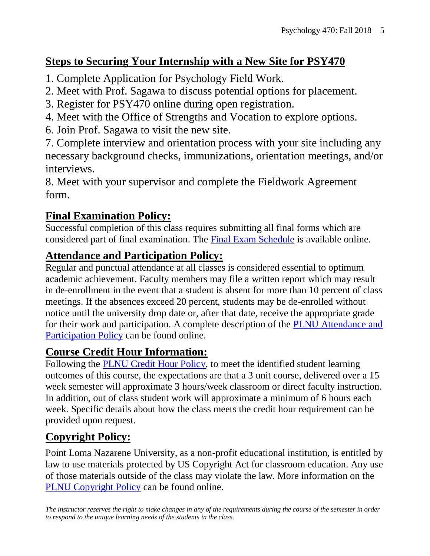## **Steps to Securing Your Internship with a New Site for PSY470**

- 1. Complete Application for Psychology Field Work.
- 2. Meet with Prof. Sagawa to discuss potential options for placement.
- 3. Register for PSY470 online during open registration.
- 4. Meet with the Office of Strengths and Vocation to explore options.
- 6. Join Prof. Sagawa to visit the new site.

7. Complete interview and orientation process with your site including any necessary background checks, immunizations, orientation meetings, and/or interviews.

8. Meet with your supervisor and complete the Fieldwork Agreement form.

## **Final Examination Policy:**

Successful completion of this class requires submitting all final forms which are considered part of final examination. The [Final Exam Schedule](http://www.pointloma.edu/experience/academics/class-schedules) is available online.

## **Attendance and Participation Policy:**

Regular and punctual attendance at all classes is considered essential to optimum academic achievement. Faculty members may file a written report which may result in de-enrollment in the event that a student is absent for more than 10 percent of class meetings. If the absences exceed 20 percent, students may be de-enrolled without notice until the university drop date or, after that date, receive the appropriate grade for their work and participation. A complete description of the [PLNU Attendance and](http://catalog.pointloma.edu/content.php?catoid=18&navoid=1278#Class_Attendance)  [Participation Policy](http://catalog.pointloma.edu/content.php?catoid=18&navoid=1278#Class_Attendance) can be found online.

## **Course Credit Hour Information:**

Following the [PLNU Credit Hour Policy,](http://catalog.pointloma.edu/content.php?catoid=18&navoid=1278#Credit_Hour_Definition) to meet the identified student learning outcomes of this course, the expectations are that a 3 unit course, delivered over a 15 week semester will approximate 3 hours/week classroom or direct faculty instruction. In addition, out of class student work will approximate a minimum of 6 hours each week. Specific details about how the class meets the credit hour requirement can be provided upon request.

## **Copyright Policy:**

Point Loma Nazarene University, as a non-profit educational institution, is entitled by law to use materials protected by US Copyright Act for classroom education. Any use of those materials outside of the class may violate the law. More information on the [PLNU Copyright Policy](http://libguides.pointloma.edu/content.php?pid=203591&sid=1700398) can be found online.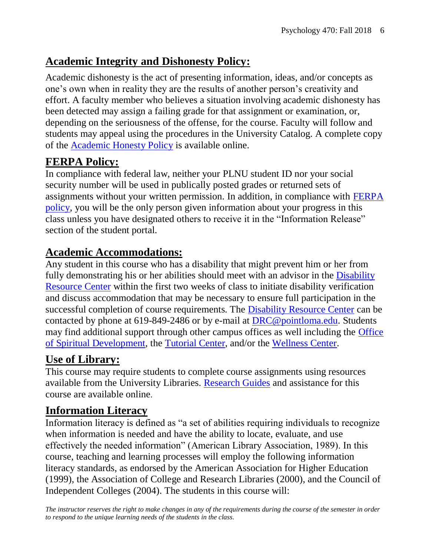### **Academic Integrity and Dishonesty Policy:**

Academic dishonesty is the act of presenting information, ideas, and/or concepts as one's own when in reality they are the results of another person's creativity and effort. A faculty member who believes a situation involving academic dishonesty has been detected may assign a failing grade for that assignment or examination, or, depending on the seriousness of the offense, for the course. Faculty will follow and students may appeal using the procedures in the University Catalog. A complete copy of the [Academic Honesty Policy](http://catalog.pointloma.edu/content.php?catoid=18&navoid=1278#Academic_Honesty) is available online.

## **FERPA Policy:**

In compliance with federal law, neither your PLNU student ID nor your social security number will be used in publically posted grades or returned sets of assignments without your written permission. In addition, in compliance with [FERPA](http://catalog.pointloma.edu/content.php?catoid=18&navoid=1278#Education_Records__FERPA__and_Directory_Information)  [policy,](http://catalog.pointloma.edu/content.php?catoid=18&navoid=1278#Education_Records__FERPA__and_Directory_Information) you will be the only person given information about your progress in this class unless you have designated others to receive it in the "Information Release" section of the student portal.

#### **Academic Accommodations:**

Any student in this course who has a disability that might prevent him or her from fully demonstrating his or her abilities should meet with an advisor in the [Disability](http://www.pointloma.edu/experience/offices/administrative-offices/academic-advising-office/disability-resource-center)  [Resource Center](http://www.pointloma.edu/experience/offices/administrative-offices/academic-advising-office/disability-resource-center) within the first two weeks of class to initiate disability verification and discuss accommodation that may be necessary to ensure full participation in the successful completion of course requirements. The [Disability Resource Center](http://www.pointloma.edu/experience/offices/administrative-offices/academic-advising-office/disability-resource-center) can be contacted by phone at 619-849-2486 or by e-mail at [DRC@pointloma.edu.](mailto:DRC@pointloma.edu) Students may find additional support through other campus offices as well including the [Office](https://www.pointloma.edu/offices/spiritual-development)  [of Spiritual Development,](https://www.pointloma.edu/offices/spiritual-development) the [Tutorial Center,](https://www.pointloma.edu/offices/tutorial-services) and/or the [Wellness Center.](https://www.pointloma.edu/offices/wellness-center)

#### **Use of Library:**

This course may require students to complete course assignments using resources available from the University Libraries. [Research Guides](http://libguides.pointloma.edu/ResearchGuides) and assistance for this course are available online.

## **Information Literacy**

Information literacy is defined as "a set of abilities requiring individuals to recognize when information is needed and have the ability to locate, evaluate, and use effectively the needed information" (American Library Association, 1989). In this course, teaching and learning processes will employ the following information literacy standards, as endorsed by the American Association for Higher Education (1999), the Association of College and Research Libraries (2000), and the Council of Independent Colleges (2004). The students in this course will: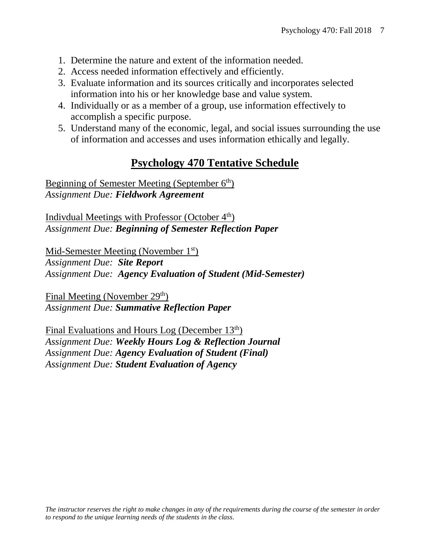- 1. Determine the nature and extent of the information needed.
- 2. Access needed information effectively and efficiently.
- 3. Evaluate information and its sources critically and incorporates selected information into his or her knowledge base and value system.
- 4. Individually or as a member of a group, use information effectively to accomplish a specific purpose.
- 5. Understand many of the economic, legal, and social issues surrounding the use of information and accesses and uses information ethically and legally.

#### **Psychology 470 Tentative Schedule**

Beginning of Semester Meeting (September 6<sup>th</sup>) *Assignment Due: Fieldwork Agreement*

Indivdual Meetings with Professor (October  $4<sup>th</sup>$ ) *Assignment Due: Beginning of Semester Reflection Paper*

Mid-Semester Meeting (November 1<sup>st</sup>)

*Assignment Due: Site Report Assignment Due: Agency Evaluation of Student (Mid-Semester)*

Final Meeting (November 29<sup>th</sup>) *Assignment Due: Summative Reflection Paper*

Final Evaluations and Hours Log (December 13th) *Assignment Due: Weekly Hours Log & Reflection Journal Assignment Due: Agency Evaluation of Student (Final) Assignment Due: Student Evaluation of Agency*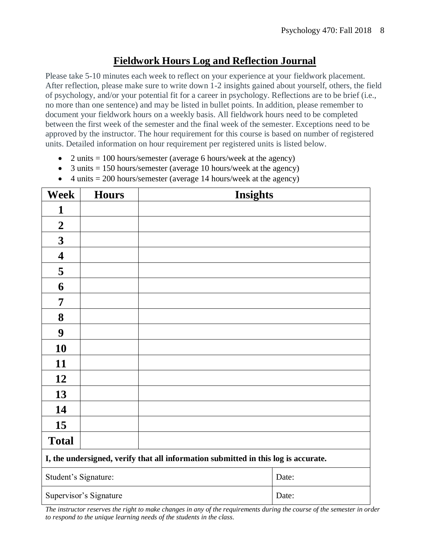#### **Fieldwork Hours Log and Reflection Journal**

Please take 5-10 minutes each week to reflect on your experience at your fieldwork placement. After reflection, please make sure to write down 1-2 insights gained about yourself, others, the field of psychology, and/or your potential fit for a career in psychology. Reflections are to be brief (i.e., no more than one sentence) and may be listed in bullet points. In addition, please remember to document your fieldwork hours on a weekly basis. All fieldwork hours need to be completed between the first week of the semester and the final week of the semester. Exceptions need to be approved by the instructor. The hour requirement for this course is based on number of registered units. Detailed information on hour requirement per registered units is listed below.

- 2 units  $= 100$  hours/semester (average 6 hours/week at the agency)
- 3 units  $= 150$  hours/semester (average 10 hours/week at the agency)
- 4 units  $= 200$  hours/semester (average 14 hours/week at the agency)

| <b>Week</b>                                                                        | <b>Hours</b>           | <b>Insights</b> |       |  |
|------------------------------------------------------------------------------------|------------------------|-----------------|-------|--|
| 1                                                                                  |                        |                 |       |  |
| $\boldsymbol{2}$                                                                   |                        |                 |       |  |
| $\mathbf{3}$                                                                       |                        |                 |       |  |
| 4                                                                                  |                        |                 |       |  |
| 5                                                                                  |                        |                 |       |  |
| 6                                                                                  |                        |                 |       |  |
| 7                                                                                  |                        |                 |       |  |
| 8                                                                                  |                        |                 |       |  |
| $\boldsymbol{9}$                                                                   |                        |                 |       |  |
| 10                                                                                 |                        |                 |       |  |
| 11                                                                                 |                        |                 |       |  |
| 12                                                                                 |                        |                 |       |  |
| 13                                                                                 |                        |                 |       |  |
| 14                                                                                 |                        |                 |       |  |
| 15                                                                                 |                        |                 |       |  |
| <b>Total</b>                                                                       |                        |                 |       |  |
| I, the undersigned, verify that all information submitted in this log is accurate. |                        |                 |       |  |
| Student's Signature:                                                               |                        |                 | Date: |  |
|                                                                                    | Supervisor's Signature |                 | Date: |  |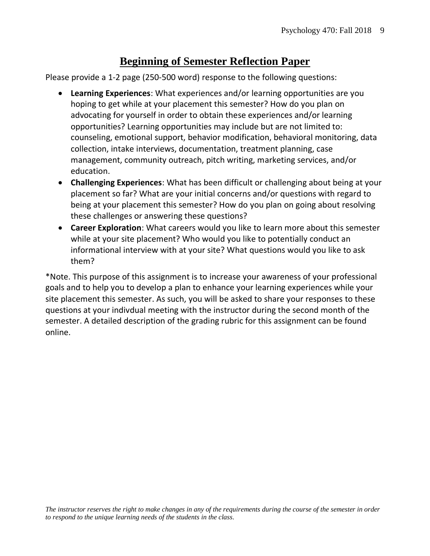#### **Beginning of Semester Reflection Paper**

Please provide a 1-2 page (250-500 word) response to the following questions:

- **Learning Experiences**: What experiences and/or learning opportunities are you hoping to get while at your placement this semester? How do you plan on advocating for yourself in order to obtain these experiences and/or learning opportunities? Learning opportunities may include but are not limited to: counseling, emotional support, behavior modification, behavioral monitoring, data collection, intake interviews, documentation, treatment planning, case management, community outreach, pitch writing, marketing services, and/or education.
- **Challenging Experiences**: What has been difficult or challenging about being at your placement so far? What are your initial concerns and/or questions with regard to being at your placement this semester? How do you plan on going about resolving these challenges or answering these questions?
- **Career Exploration**: What careers would you like to learn more about this semester while at your site placement? Who would you like to potentially conduct an informational interview with at your site? What questions would you like to ask them?

\*Note. This purpose of this assignment is to increase your awareness of your professional goals and to help you to develop a plan to enhance your learning experiences while your site placement this semester. As such, you will be asked to share your responses to these questions at your indivdual meeting with the instructor during the second month of the semester. A detailed description of the grading rubric for this assignment can be found online.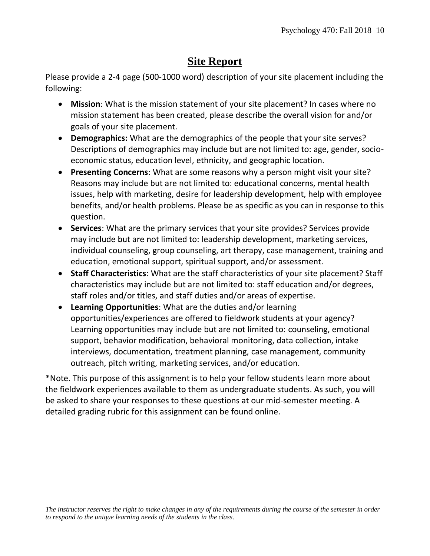#### **Site Report**

Please provide a 2-4 page (500-1000 word) description of your site placement including the following:

- **Mission**: What is the mission statement of your site placement? In cases where no mission statement has been created, please describe the overall vision for and/or goals of your site placement.
- **Demographics:** What are the demographics of the people that your site serves? Descriptions of demographics may include but are not limited to: age, gender, socioeconomic status, education level, ethnicity, and geographic location.
- **Presenting Concerns**: What are some reasons why a person might visit your site? Reasons may include but are not limited to: educational concerns, mental health issues, help with marketing, desire for leadership development, help with employee benefits, and/or health problems. Please be as specific as you can in response to this question.
- **Services**: What are the primary services that your site provides? Services provide may include but are not limited to: leadership development, marketing services, individual counseling, group counseling, art therapy, case management, training and education, emotional support, spiritual support, and/or assessment.
- **Staff Characteristics**: What are the staff characteristics of your site placement? Staff characteristics may include but are not limited to: staff education and/or degrees, staff roles and/or titles, and staff duties and/or areas of expertise.
- **Learning Opportunities**: What are the duties and/or learning opportunities/experiences are offered to fieldwork students at your agency? Learning opportunities may include but are not limited to: counseling, emotional support, behavior modification, behavioral monitoring, data collection, intake interviews, documentation, treatment planning, case management, community outreach, pitch writing, marketing services, and/or education.

\*Note. This purpose of this assignment is to help your fellow students learn more about the fieldwork experiences available to them as undergraduate students. As such, you will be asked to share your responses to these questions at our mid-semester meeting. A detailed grading rubric for this assignment can be found online.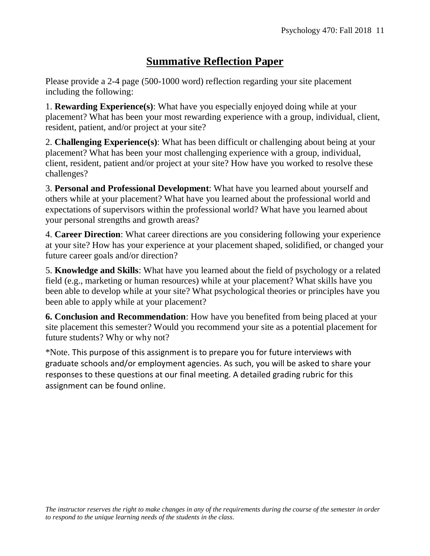### **Summative Reflection Paper**

Please provide a 2-4 page (500-1000 word) reflection regarding your site placement including the following:

1. **Rewarding Experience(s)**: What have you especially enjoyed doing while at your placement? What has been your most rewarding experience with a group, individual, client, resident, patient, and/or project at your site?

2. **Challenging Experience(s)**: What has been difficult or challenging about being at your placement? What has been your most challenging experience with a group, individual, client, resident, patient and/or project at your site? How have you worked to resolve these challenges?

3. **Personal and Professional Development**: What have you learned about yourself and others while at your placement? What have you learned about the professional world and expectations of supervisors within the professional world? What have you learned about your personal strengths and growth areas?

4. **Career Direction**: What career directions are you considering following your experience at your site? How has your experience at your placement shaped, solidified, or changed your future career goals and/or direction?

5. **Knowledge and Skills**: What have you learned about the field of psychology or a related field (e.g., marketing or human resources) while at your placement? What skills have you been able to develop while at your site? What psychological theories or principles have you been able to apply while at your placement?

**6. Conclusion and Recommendation**: How have you benefited from being placed at your site placement this semester? Would you recommend your site as a potential placement for future students? Why or why not?

\*Note. This purpose of this assignment is to prepare you for future interviews with graduate schools and/or employment agencies. As such, you will be asked to share your responses to these questions at our final meeting. A detailed grading rubric for this assignment can be found online.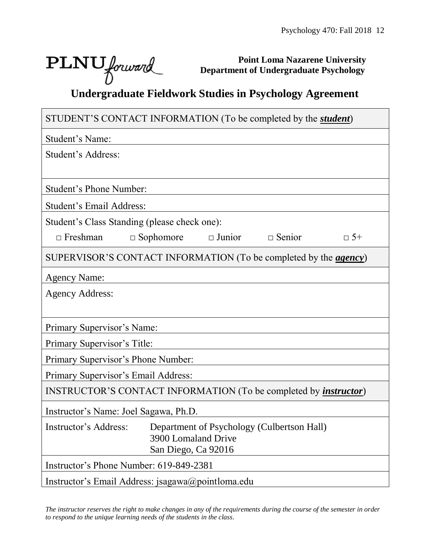٦

# PLNU forward

Г

**Point Loma Nazarene University Department of Undergraduate Psychology**

# **Undergraduate Fieldwork Studies in Psychology Agreement**

| STUDENT'S CONTACT INFORMATION (To be completed by the <i>student</i> )   |                     |               |               |           |  |
|--------------------------------------------------------------------------|---------------------|---------------|---------------|-----------|--|
| Student's Name:                                                          |                     |               |               |           |  |
| Student's Address:                                                       |                     |               |               |           |  |
|                                                                          |                     |               |               |           |  |
| <b>Student's Phone Number:</b>                                           |                     |               |               |           |  |
| <b>Student's Email Address:</b>                                          |                     |               |               |           |  |
| Student's Class Standing (please check one):                             |                     |               |               |           |  |
| $\Box$ Freshman                                                          | $\Box$ Sophomore    | $\Box$ Junior | $\Box$ Senior | $\Box$ 5+ |  |
| SUPERVISOR'S CONTACT INFORMATION (To be completed by the <i>agency</i> ) |                     |               |               |           |  |
| <b>Agency Name:</b>                                                      |                     |               |               |           |  |
| <b>Agency Address:</b>                                                   |                     |               |               |           |  |
|                                                                          |                     |               |               |           |  |
| Primary Supervisor's Name:                                               |                     |               |               |           |  |
| Primary Supervisor's Title:                                              |                     |               |               |           |  |
| Primary Supervisor's Phone Number:                                       |                     |               |               |           |  |
| Primary Supervisor's Email Address:                                      |                     |               |               |           |  |
| INSTRUCTOR'S CONTACT INFORMATION (To be completed by <i>instructor</i> ) |                     |               |               |           |  |
| Instructor's Name: Joel Sagawa, Ph.D.                                    |                     |               |               |           |  |
| Instructor's Address: Department of Psychology (Culbertson Hall)         |                     |               |               |           |  |
|                                                                          | 3900 Lomaland Drive |               |               |           |  |
| Instructor's Phone Number: 619-849-2381                                  | San Diego, Ca 92016 |               |               |           |  |
| Instructor's Email Address: jsagawa@pointloma.edu                        |                     |               |               |           |  |
|                                                                          |                     |               |               |           |  |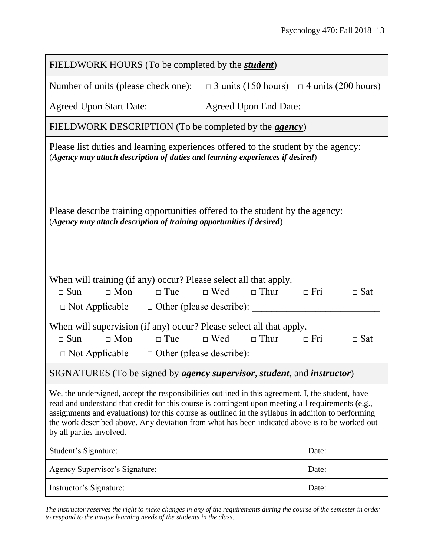| FIELDWORK HOURS (To be completed by the <i>student</i> )                                                                                                                                                                                                                                                                                                                                                                                    |                                      |            |  |  |  |
|---------------------------------------------------------------------------------------------------------------------------------------------------------------------------------------------------------------------------------------------------------------------------------------------------------------------------------------------------------------------------------------------------------------------------------------------|--------------------------------------|------------|--|--|--|
| Number of units (please check one):<br>$\Box$ 3 units (150 hours) $\Box$ 4 units (200 hours)                                                                                                                                                                                                                                                                                                                                                |                                      |            |  |  |  |
| <b>Agreed Upon Start Date:</b>                                                                                                                                                                                                                                                                                                                                                                                                              | <b>Agreed Upon End Date:</b>         |            |  |  |  |
| FIELDWORK DESCRIPTION (To be completed by the <i>agency</i> )                                                                                                                                                                                                                                                                                                                                                                               |                                      |            |  |  |  |
| Please list duties and learning experiences offered to the student by the agency:<br>(Agency may attach description of duties and learning experiences if desired)                                                                                                                                                                                                                                                                          |                                      |            |  |  |  |
| Please describe training opportunities offered to the student by the agency:<br>(Agency may attach description of training opportunities if desired)                                                                                                                                                                                                                                                                                        |                                      |            |  |  |  |
| When will training (if any) occur? Please select all that apply.<br>$\Box$ Sun<br>$\Box$ Mon<br>$\Box$ Tue<br>$\Box$ Not Applicable $\Box$ Other (please describe):                                                                                                                                                                                                                                                                         | $\Box$ Wed $\Box$ Thur<br>$\Box$ Fri | $\Box$ Sat |  |  |  |
| When will supervision (if any) occur? Please select all that apply.<br>$\Box$ Mon<br>$\Box$ Wed $\Box$ Thur<br>$\Box$ Sun<br>$\Box$ Tue<br>$\Box$ Fri<br>$\Box$ Sat<br>$\Box$ Not Applicable $\Box$ Other (please describe):                                                                                                                                                                                                                |                                      |            |  |  |  |
| SIGNATURES (To be signed by <i>agency supervisor, student</i> , and <i>instructor</i> )                                                                                                                                                                                                                                                                                                                                                     |                                      |            |  |  |  |
| We, the undersigned, accept the responsibilities outlined in this agreement. I, the student, have<br>read and understand that credit for this course is contingent upon meeting all requirements (e.g.,<br>assignments and evaluations) for this course as outlined in the syllabus in addition to performing<br>the work described above. Any deviation from what has been indicated above is to be worked out<br>by all parties involved. |                                      |            |  |  |  |
| Student's Signature:                                                                                                                                                                                                                                                                                                                                                                                                                        |                                      | Date:      |  |  |  |
| Agency Supervisor's Signature:                                                                                                                                                                                                                                                                                                                                                                                                              |                                      | Date:      |  |  |  |
| Instructor's Signature:                                                                                                                                                                                                                                                                                                                                                                                                                     |                                      | Date:      |  |  |  |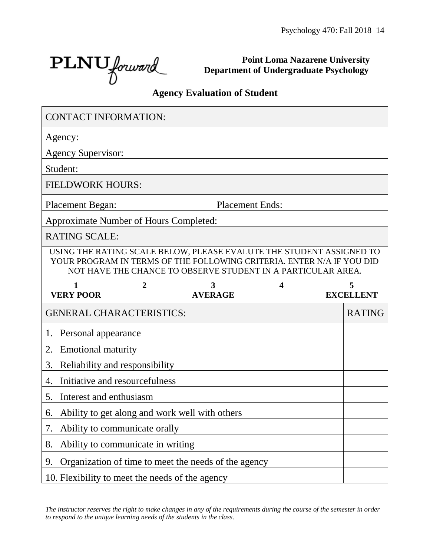٦

PLNU forward

**Point Loma Nazarene University Department of Undergraduate Psychology**

#### **Agency Evaluation of Student**

| <b>CONTACT INFORMATION:</b>                          |                                   |                                                                                                                                                                                                               |   |                       |
|------------------------------------------------------|-----------------------------------|---------------------------------------------------------------------------------------------------------------------------------------------------------------------------------------------------------------|---|-----------------------|
| Agency:                                              |                                   |                                                                                                                                                                                                               |   |                       |
| <b>Agency Supervisor:</b>                            |                                   |                                                                                                                                                                                                               |   |                       |
| Student:                                             |                                   |                                                                                                                                                                                                               |   |                       |
| <b>FIELDWORK HOURS:</b>                              |                                   |                                                                                                                                                                                                               |   |                       |
| <b>Placement Began:</b>                              |                                   | <b>Placement Ends:</b>                                                                                                                                                                                        |   |                       |
| Approximate Number of Hours Completed:               |                                   |                                                                                                                                                                                                               |   |                       |
| <b>RATING SCALE:</b>                                 |                                   |                                                                                                                                                                                                               |   |                       |
|                                                      |                                   | USING THE RATING SCALE BELOW, PLEASE EVALUTE THE STUDENT ASSIGNED TO<br>YOUR PROGRAM IN TERMS OF THE FOLLOWING CRITERIA. ENTER N/A IF YOU DID<br>NOT HAVE THE CHANCE TO OBSERVE STUDENT IN A PARTICULAR AREA. |   |                       |
| <b>VERY POOR</b>                                     | 2                                 | 3<br><b>AVERAGE</b>                                                                                                                                                                                           | 4 | 5<br><b>EXCELLENT</b> |
| <b>GENERAL CHARACTERISTICS:</b>                      |                                   |                                                                                                                                                                                                               |   | <b>RATING</b>         |
| Personal appearance<br>1.                            |                                   |                                                                                                                                                                                                               |   |                       |
| <b>Emotional maturity</b><br>2.                      |                                   |                                                                                                                                                                                                               |   |                       |
| Reliability and responsibility<br>3.                 |                                   |                                                                                                                                                                                                               |   |                       |
| Initiative and resourcefulness<br>4.                 |                                   |                                                                                                                                                                                                               |   |                       |
| Interest and enthusiasm<br>5.                        |                                   |                                                                                                                                                                                                               |   |                       |
| Ability to get along and work well with others<br>6. |                                   |                                                                                                                                                                                                               |   |                       |
| 7.                                                   | Ability to communicate orally     |                                                                                                                                                                                                               |   |                       |
| 8.                                                   |                                   |                                                                                                                                                                                                               |   |                       |
|                                                      | Ability to communicate in writing |                                                                                                                                                                                                               |   |                       |
| 9.                                                   |                                   | Organization of time to meet the needs of the agency                                                                                                                                                          |   |                       |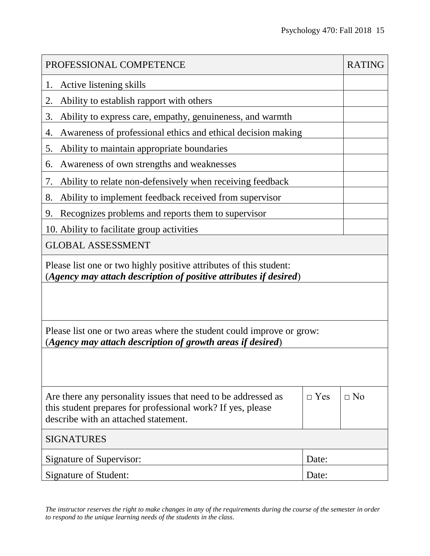| PROFESSIONAL COMPETENCE                                                                                                                                              |            | <b>RATING</b> |  |  |
|----------------------------------------------------------------------------------------------------------------------------------------------------------------------|------------|---------------|--|--|
| Active listening skills<br>1.                                                                                                                                        |            |               |  |  |
| Ability to establish rapport with others<br>2.                                                                                                                       |            |               |  |  |
| 3.<br>Ability to express care, empathy, genuineness, and warmth                                                                                                      |            |               |  |  |
| Awareness of professional ethics and ethical decision making<br>4.                                                                                                   |            |               |  |  |
| 5.<br>Ability to maintain appropriate boundaries                                                                                                                     |            |               |  |  |
| Awareness of own strengths and weaknesses<br>6.                                                                                                                      |            |               |  |  |
| 7.<br>Ability to relate non-defensively when receiving feedback                                                                                                      |            |               |  |  |
| Ability to implement feedback received from supervisor<br>8.                                                                                                         |            |               |  |  |
| Recognizes problems and reports them to supervisor<br>9.                                                                                                             |            |               |  |  |
| 10. Ability to facilitate group activities                                                                                                                           |            |               |  |  |
| <b>GLOBAL ASSESSMENT</b>                                                                                                                                             |            |               |  |  |
| Please list one or two highly positive attributes of this student:<br>(Agency may attach description of positive attributes if desired)                              |            |               |  |  |
|                                                                                                                                                                      |            |               |  |  |
| Please list one or two areas where the student could improve or grow:<br>(Agency may attach description of growth areas if desired)                                  |            |               |  |  |
|                                                                                                                                                                      |            |               |  |  |
| Are there any personality issues that need to be addressed as<br>this student prepares for professional work? If yes, please<br>describe with an attached statement. | $\Box$ Yes | $\Box$ No     |  |  |
| <b>SIGNATURES</b>                                                                                                                                                    |            |               |  |  |
| Signature of Supervisor:<br>Date:                                                                                                                                    |            |               |  |  |
| Signature of Student:                                                                                                                                                | Date:      |               |  |  |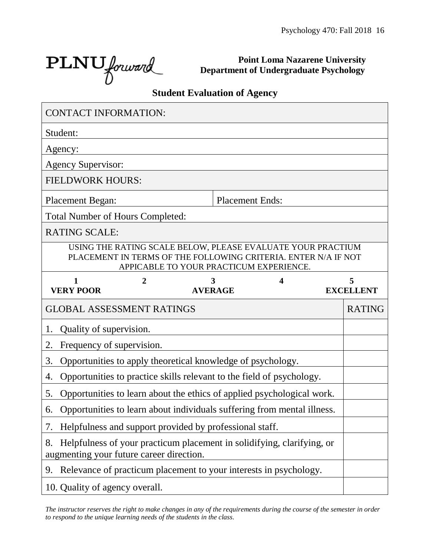┑

PLNU forward

Г

**Point Loma Nazarene University Department of Undergraduate Psychology**

## **Student Evaluation of Agency**

| <b>CONTACT INFORMATION:</b>                    |   |                                                                         |                        |                                                                                                                               |
|------------------------------------------------|---|-------------------------------------------------------------------------|------------------------|-------------------------------------------------------------------------------------------------------------------------------|
| Student:                                       |   |                                                                         |                        |                                                                                                                               |
| Agency:                                        |   |                                                                         |                        |                                                                                                                               |
| <b>Agency Supervisor:</b>                      |   |                                                                         |                        |                                                                                                                               |
| <b>FIELDWORK HOURS:</b>                        |   |                                                                         |                        |                                                                                                                               |
| <b>Placement Began:</b>                        |   |                                                                         | <b>Placement Ends:</b> |                                                                                                                               |
| <b>Total Number of Hours Completed:</b>        |   |                                                                         |                        |                                                                                                                               |
| <b>RATING SCALE:</b>                           |   |                                                                         |                        |                                                                                                                               |
|                                                |   | APPICABLE TO YOUR PRACTICUM EXPERIENCE.                                 |                        | USING THE RATING SCALE BELOW, PLEASE EVALUATE YOUR PRACTIUM<br>PLACEMENT IN TERMS OF THE FOLLOWING CRITERIA. ENTER N/A IF NOT |
| $\mathbf{1}$<br><b>VERY POOR</b>               | 2 | 3<br><b>AVERAGE</b>                                                     | 4                      | 5<br><b>EXCELLENT</b>                                                                                                         |
|                                                |   |                                                                         |                        |                                                                                                                               |
| <b>GLOBAL ASSESSMENT RATINGS</b>               |   |                                                                         |                        | <b>RATING</b>                                                                                                                 |
| Quality of supervision.<br>1.                  |   |                                                                         |                        |                                                                                                                               |
| Frequency of supervision.<br>2.                |   |                                                                         |                        |                                                                                                                               |
| 3.                                             |   | Opportunities to apply theoretical knowledge of psychology.             |                        |                                                                                                                               |
| 4.                                             |   | Opportunities to practice skills relevant to the field of psychology.   |                        |                                                                                                                               |
| 5.                                             |   | Opportunities to learn about the ethics of applied psychological work.  |                        |                                                                                                                               |
| 6.                                             |   | Opportunities to learn about individuals suffering from mental illness. |                        |                                                                                                                               |
| 7.                                             |   | Helpfulness and support provided by professional staff.                 |                        |                                                                                                                               |
| 8.<br>augmenting your future career direction. |   | Helpfulness of your practicum placement in solidifying, clarifying, or  |                        |                                                                                                                               |
| 9.                                             |   | Relevance of practicum placement to your interests in psychology.       |                        |                                                                                                                               |